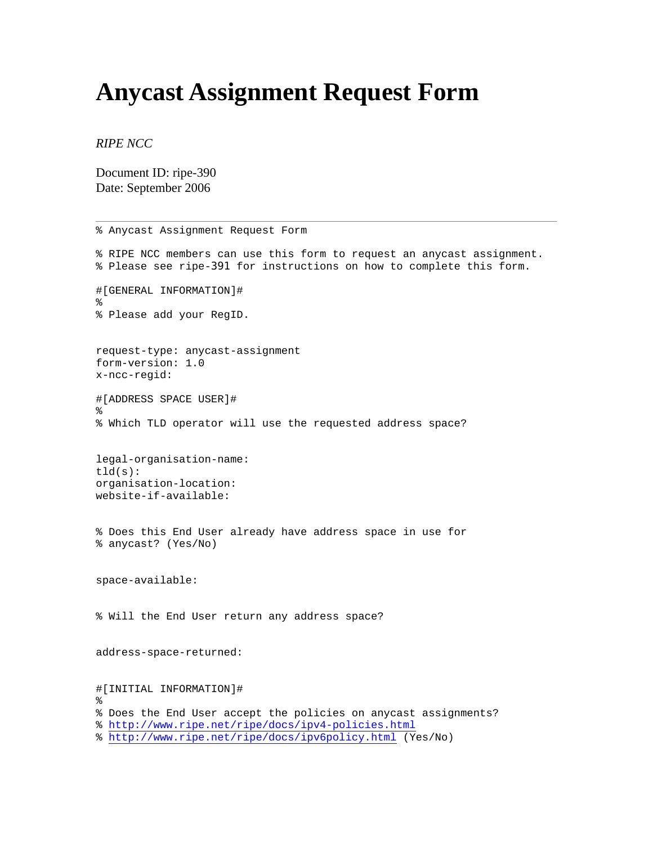## **Anycast Assignment Request Form**

*RIPE NCC* 

Document ID: ripe-390 Date: September 2006

% Anycast Assignment Request Form % RIPE NCC members can use this form to request an anycast assignment. % Please see ripe-391 for instructions on how to complete this form. #[GENERAL INFORMATION]# % % Please add your RegID. request-type: anycast-assignment form-version: 1.0 x-ncc-regid: #[ADDRESS SPACE USER]#  $\approx$ % Which TLD operator will use the requested address space? legal-organisation-name:  $tld(s)$ : organisation-location: website-if-available: % Does this End User already have address space in use for % anycast? (Yes/No) space-available: % Will the End User return any address space? address-space-returned: #[INITIAL INFORMATION]# % % Does the End User accept the policies on anycast assignments? %<http://www.ripe.net/ripe/docs/ipv4-policies.html> %<http://www.ripe.net/ripe/docs/ipv6policy.html> (Yes/No)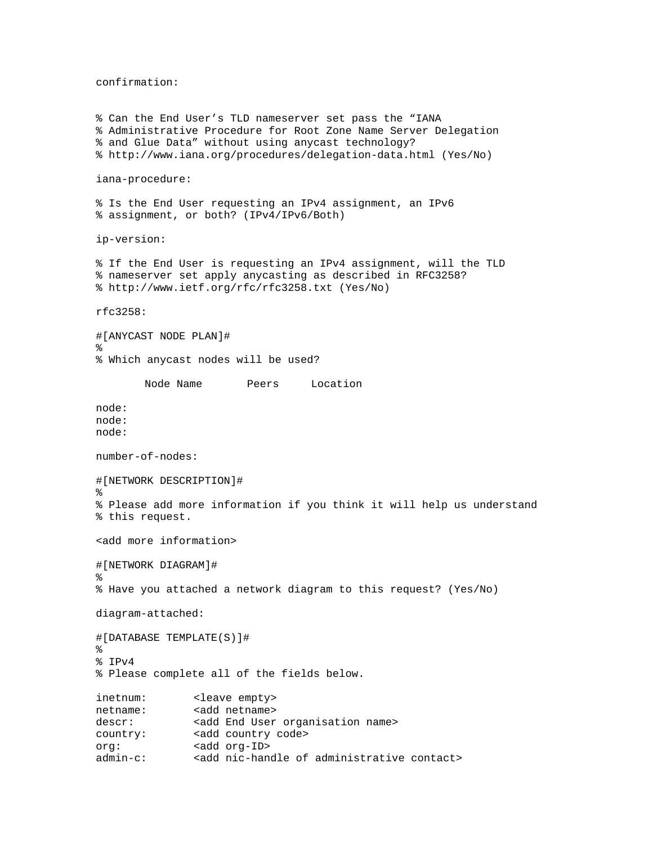confirmation:

% Can the End User's TLD nameserver set pass the "IANA % Administrative Procedure for Root Zone Name Server Delegation % and Glue Data" without using anycast technology? % http://www.iana.org/procedures/delegation-data.html (Yes/No) iana-procedure: % Is the End User requesting an IPv4 assignment, an IPv6 % assignment, or both? (IPv4/IPv6/Both) ip-version: % If the End User is requesting an IPv4 assignment, will the TLD % nameserver set apply anycasting as described in RFC3258? % http://www.ietf.org/rfc/rfc3258.txt (Yes/No) rfc3258: #[ANYCAST NODE PLAN]# % % Which anycast nodes will be used? Node Name Peers Location node: node: node: number-of-nodes: #[NETWORK DESCRIPTION]#  $\approx$ % Please add more information if you think it will help us understand % this request. <add more information> #[NETWORK DIAGRAM]# % % Have you attached a network diagram to this request? (Yes/No) diagram-attached: #[DATABASE TEMPLATE(S)]# % % IPv4 % Please complete all of the fields below. inetnum: <leave empty> netname: <add netname> descr: <add End User organisation name> country: <add country code> org: <add org-ID> admin-c: <add nic-handle of administrative contact>